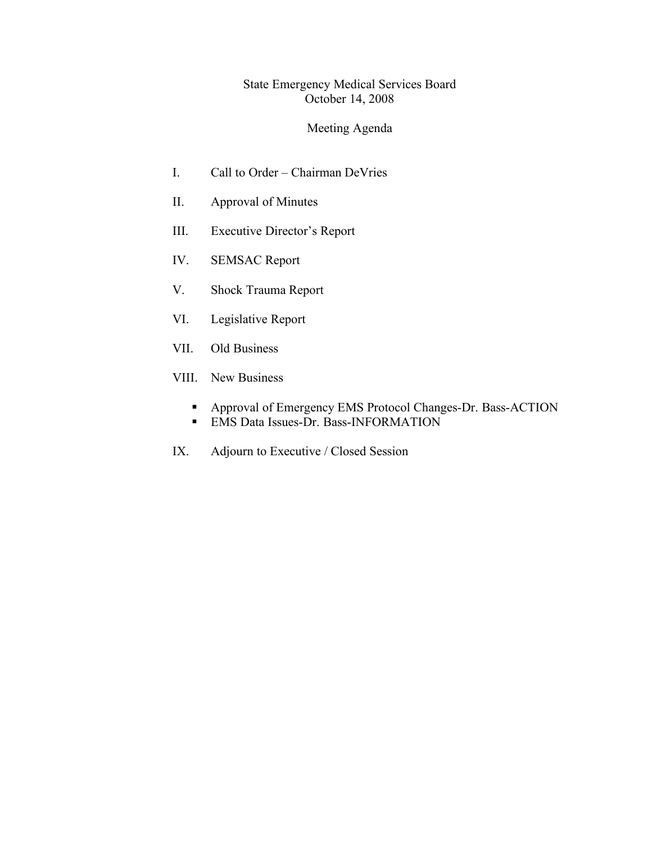## State Emergency Medical Services Board October 14, 2008

# Meeting Agenda

- I. Call to Order Chairman DeVries
- II. Approval of Minutes
- III. Executive Director's Report
- IV. SEMSAC Report
- V. Shock Trauma Report
- VI. Legislative Report
- VII. Old Business
- VIII. New Business
	- Approval of Emergency EMS Protocol Changes-Dr. Bass-ACTION **EMS** Data Issues-Dr. Bass-INFORMATION
- IX. Adjourn to Executive / Closed Session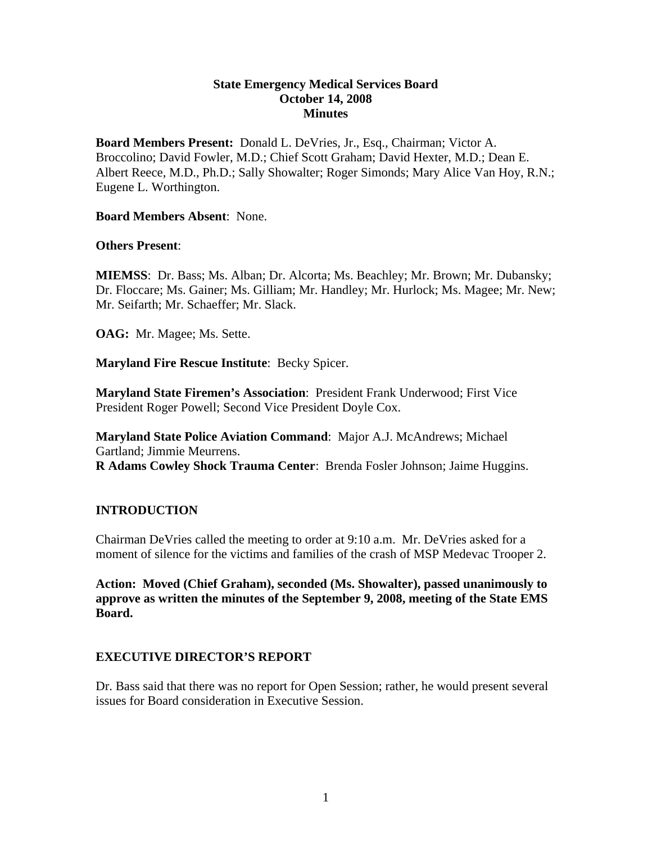### **State Emergency Medical Services Board October 14, 2008 Minutes**

**Board Members Present:** Donald L. DeVries, Jr., Esq., Chairman; Victor A. Broccolino; David Fowler, M.D.; Chief Scott Graham; David Hexter, M.D.; Dean E. Albert Reece, M.D., Ph.D.; Sally Showalter; Roger Simonds; Mary Alice Van Hoy, R.N.; Eugene L. Worthington.

#### **Board Members Absent**: None.

### **Others Present**:

**MIEMSS**: Dr. Bass; Ms. Alban; Dr. Alcorta; Ms. Beachley; Mr. Brown; Mr. Dubansky; Dr. Floccare; Ms. Gainer; Ms. Gilliam; Mr. Handley; Mr. Hurlock; Ms. Magee; Mr. New; Mr. Seifarth; Mr. Schaeffer; Mr. Slack.

**OAG:** Mr. Magee; Ms. Sette.

**Maryland Fire Rescue Institute**: Becky Spicer.

**Maryland State Firemen's Association**: President Frank Underwood; First Vice President Roger Powell; Second Vice President Doyle Cox.

**Maryland State Police Aviation Command**: Major A.J. McAndrews; Michael Gartland; Jimmie Meurrens. **R Adams Cowley Shock Trauma Center**: Brenda Fosler Johnson; Jaime Huggins.

### **INTRODUCTION**

Chairman DeVries called the meeting to order at 9:10 a.m. Mr. DeVries asked for a moment of silence for the victims and families of the crash of MSP Medevac Trooper 2.

**Action: Moved (Chief Graham), seconded (Ms. Showalter), passed unanimously to approve as written the minutes of the September 9, 2008, meeting of the State EMS Board.** 

### **EXECUTIVE DIRECTOR'S REPORT**

Dr. Bass said that there was no report for Open Session; rather, he would present several issues for Board consideration in Executive Session.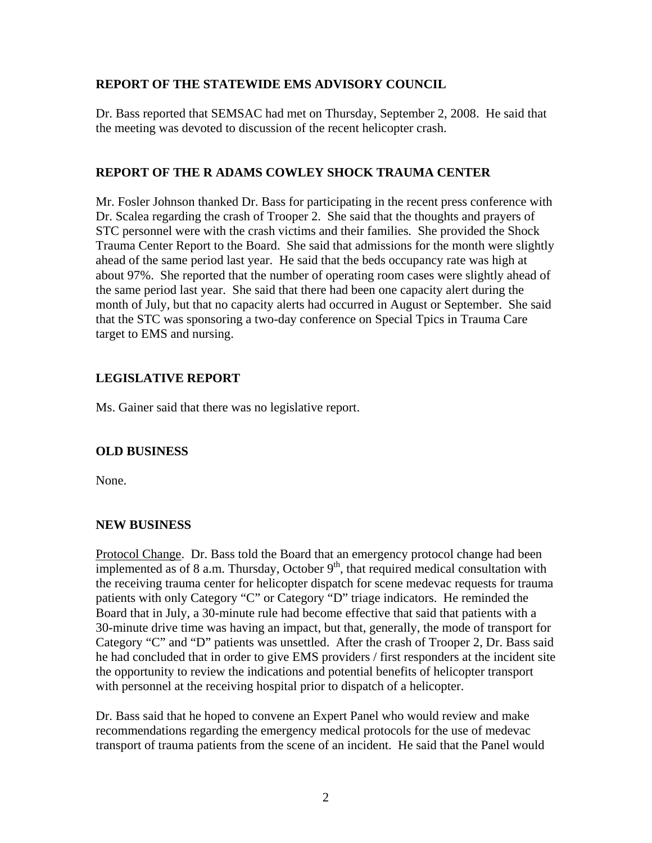## **REPORT OF THE STATEWIDE EMS ADVISORY COUNCIL**

Dr. Bass reported that SEMSAC had met on Thursday, September 2, 2008. He said that the meeting was devoted to discussion of the recent helicopter crash.

### **REPORT OF THE R ADAMS COWLEY SHOCK TRAUMA CENTER**

Mr. Fosler Johnson thanked Dr. Bass for participating in the recent press conference with Dr. Scalea regarding the crash of Trooper 2. She said that the thoughts and prayers of STC personnel were with the crash victims and their families. She provided the Shock Trauma Center Report to the Board. She said that admissions for the month were slightly ahead of the same period last year. He said that the beds occupancy rate was high at about 97%. She reported that the number of operating room cases were slightly ahead of the same period last year. She said that there had been one capacity alert during the month of July, but that no capacity alerts had occurred in August or September. She said that the STC was sponsoring a two-day conference on Special Tpics in Trauma Care target to EMS and nursing.

## **LEGISLATIVE REPORT**

Ms. Gainer said that there was no legislative report.

### **OLD BUSINESS**

None.

### **NEW BUSINESS**

Protocol Change. Dr. Bass told the Board that an emergency protocol change had been implemented as of 8 a.m. Thursday, October  $9<sup>th</sup>$ , that required medical consultation with the receiving trauma center for helicopter dispatch for scene medevac requests for trauma patients with only Category "C" or Category "D" triage indicators. He reminded the Board that in July, a 30-minute rule had become effective that said that patients with a 30-minute drive time was having an impact, but that, generally, the mode of transport for Category "C" and "D" patients was unsettled. After the crash of Trooper 2, Dr. Bass said he had concluded that in order to give EMS providers / first responders at the incident site the opportunity to review the indications and potential benefits of helicopter transport with personnel at the receiving hospital prior to dispatch of a helicopter.

Dr. Bass said that he hoped to convene an Expert Panel who would review and make recommendations regarding the emergency medical protocols for the use of medevac transport of trauma patients from the scene of an incident. He said that the Panel would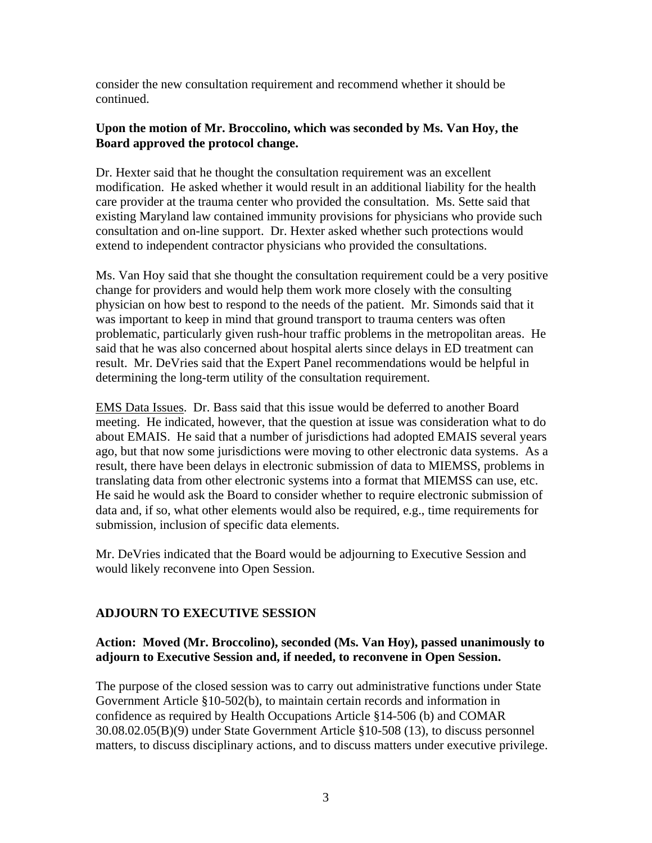consider the new consultation requirement and recommend whether it should be continued.

### **Upon the motion of Mr. Broccolino, which was seconded by Ms. Van Hoy, the Board approved the protocol change.**

Dr. Hexter said that he thought the consultation requirement was an excellent modification. He asked whether it would result in an additional liability for the health care provider at the trauma center who provided the consultation. Ms. Sette said that existing Maryland law contained immunity provisions for physicians who provide such consultation and on-line support. Dr. Hexter asked whether such protections would extend to independent contractor physicians who provided the consultations.

Ms. Van Hoy said that she thought the consultation requirement could be a very positive change for providers and would help them work more closely with the consulting physician on how best to respond to the needs of the patient. Mr. Simonds said that it was important to keep in mind that ground transport to trauma centers was often problematic, particularly given rush-hour traffic problems in the metropolitan areas. He said that he was also concerned about hospital alerts since delays in ED treatment can result. Mr. DeVries said that the Expert Panel recommendations would be helpful in determining the long-term utility of the consultation requirement.

EMS Data Issues. Dr. Bass said that this issue would be deferred to another Board meeting. He indicated, however, that the question at issue was consideration what to do about EMAIS. He said that a number of jurisdictions had adopted EMAIS several years ago, but that now some jurisdictions were moving to other electronic data systems. As a result, there have been delays in electronic submission of data to MIEMSS, problems in translating data from other electronic systems into a format that MIEMSS can use, etc. He said he would ask the Board to consider whether to require electronic submission of data and, if so, what other elements would also be required, e.g., time requirements for submission, inclusion of specific data elements.

Mr. DeVries indicated that the Board would be adjourning to Executive Session and would likely reconvene into Open Session.

## **ADJOURN TO EXECUTIVE SESSION**

## **Action: Moved (Mr. Broccolino), seconded (Ms. Van Hoy), passed unanimously to adjourn to Executive Session and, if needed, to reconvene in Open Session.**

The purpose of the closed session was to carry out administrative functions under State Government Article §10-502(b), to maintain certain records and information in confidence as required by Health Occupations Article §14-506 (b) and COMAR 30.08.02.05(B)(9) under State Government Article §10-508 (13), to discuss personnel matters, to discuss disciplinary actions, and to discuss matters under executive privilege.